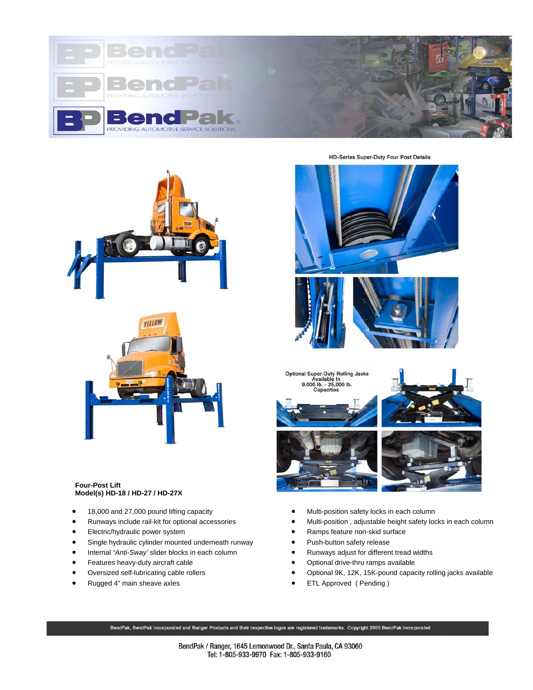







## **Four-Post Lift Model(s) HD-18 / HD-27 / HD-27X**

- 18,000 and 27,000 pound lifting capacity
- Runways include rail-kit for optional accessories
- Electric/hydraulic power system
- Single hydraulic cylinder mounted underneath runway
- Internal *"Anti-Sway'* slider blocks in each column
- Features heavy-duty aircraft cable
- Oversized self-lubricating cable rollers
- Rugged 4" main sheave axles





- Multi-position safety locks in each column
- Multi-position , adjustable height safety locks in each column
- Ramps feature non-skid surface
- Push-button safety release
- Runways adjust for different tread widths
- Optional drive-thru ramps available
- Optional 9K, 12K, 15K-pound capacity rolling jacks available
- ETL Approved ( Pending )

BendPak, BendPak Incorporated and Ranger Products and their respective logos are registered trademarks. Copyright 2005 BendPak Incorporated